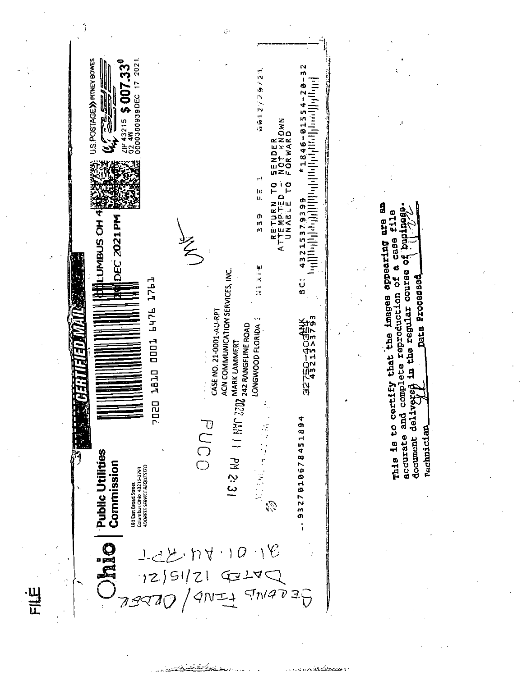|    |                                                                                                                                                                                                                                                                                                                | $\mathcal{C}_{\mathcal{C}}$                                                                                                                                                                                                                                                                                            |                                                                                                                                                                                                                                                                                                                                                    |                                                                                                                                                                                                                                                                         |
|----|----------------------------------------------------------------------------------------------------------------------------------------------------------------------------------------------------------------------------------------------------------------------------------------------------------------|------------------------------------------------------------------------------------------------------------------------------------------------------------------------------------------------------------------------------------------------------------------------------------------------------------------------|----------------------------------------------------------------------------------------------------------------------------------------------------------------------------------------------------------------------------------------------------------------------------------------------------------------------------------------------------|-------------------------------------------------------------------------------------------------------------------------------------------------------------------------------------------------------------------------------------------------------------------------|
|    | U.S. POSTAGE >>>> PITNEY BOWES<br>2021<br>\$007.33 <sup>0</sup><br>$024W$ $V = 17$<br>川川<br>ZIP 43215<br>Ş<br>LUMBUS OH 4<br><b>DEC 2021PM</b><br><b>T1761</b><br>971 LODD<br>DTBT<br>7020<br>Public Utilities<br>Commission<br>180 East Broad Street<br>Columbus Ohio 43215-3793<br>ADORESS SERVICE REQUESTED | 번<br>Ñ<br>27.950<br>SENDER<br>NOT KNOWN<br>FORWARD<br>ဥ<br>ω<br>ū.<br><b>ATTEMPTED<br/>ATTEMPTED</b><br>UNABLE<br>Φ<br>m<br>'nП<br>そ<br>NIXIE<br>ACN COMMUNICATION SERVICES, INC.<br>CASE NO. 21-0001-AU-RPT<br>242 RANGELINE ROAD<br>LONGWOOD FLORIDA<br><b>MARK LAMMERT</b><br>220<br>1811 PM 2:31<br>PUCO<br>ľ<br>্ | ľV<br>$\overline{\mathbf{m}}$<br>$\frac{1}{2}$<br>1846-01554-<br><b>Lifting Life in the Second Life is a second to the Second Life is a second life in the Second Life</b><br>m<br>ค<br>432153<br>ູ່ບ່<br>ຫ<br>鸞<br>といい マストランド マスティック しょうかい しょうかい しょうかん しょうかん しょうかい しょうかい しょうかい<br>្ត្រៃ<br>ព្រ<br>1894<br>45<br>0578<br>٦I<br>$\overline{2}$<br>m | a<br><b>e11e</b><br>818<br><b>and</b><br>CaBe<br>appearing<br>٣,<br>đ<br>in the regular course<br>complete reproduction of<br>Date Processed<br>certify that the images<br><b>TABESH</b><br>and<br>a<br>del.<br>o<br>C<br>Technician<br>accurate<br>document<br>This is |
| 出于 | halo                                                                                                                                                                                                                                                                                                           | ١Ě<br>104. NV<br>12/51/21 G<br>79870 / 9NI<br>4214<br>$4N+5N4729$                                                                                                                                                                                                                                                      | ö                                                                                                                                                                                                                                                                                                                                                  |                                                                                                                                                                                                                                                                         |

li<br>Libo al s

 $\mathcal{A}_f$